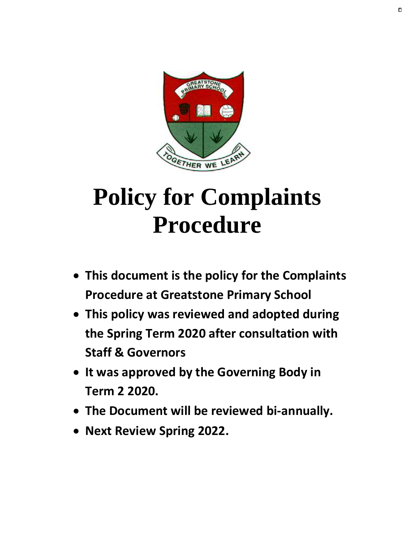

# **Policy for Complaints Procedure**

- **This document is the policy for the Complaints Procedure at Greatstone Primary School**
- **This policy was reviewed and adopted during the Spring Term 2020 after consultation with Staff & Governors**
- **It was approved by the Governing Body in Term 2 2020.**
- **The Document will be reviewed bi-annually.**
- **Next Review Spring 2022.**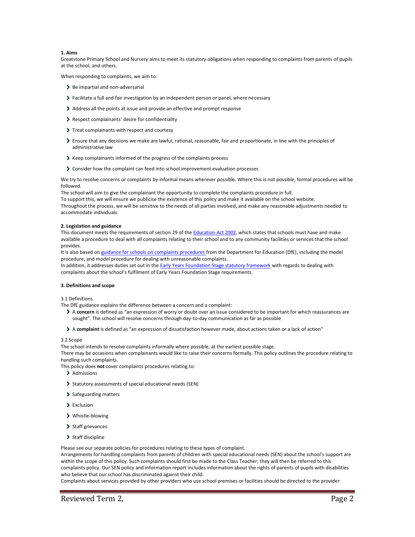# **1. Aims**

Greatstone Primary School and Nursery aims to meet its statutory obligations when responding to complaints from parents of pupils at the school, and others.

When responding to complaints, we aim to:

- > Be impartial and non-adversarial
- Facilitate a full and fair investigation by an independent person or panel, where necessary
- Address all the points at issue and provide an effective and prompt response
- Respect complainants' desire for confidentiality
- > Treat complainants with respect and courtesy
- Ensure that any decisions we make are lawful, rational, reasonable, fair and proportionate, in line with the principles of administrative law
- Keep complainants informed of the progress of the complaints process
- Consider how the complaint can feed into school improvement evaluation processes

We try to resolve concerns or complaints by informal means wherever possible. Where this is not possible, formal procedures will be followed.

The school will aim to give the complainant the opportunity to complete the complaints procedure in full.

To support this, we will ensure we publicise the existence of this policy and make it available on the school website. Throughout the process, we will be sensitive to the needs of all parties involved, and make any reasonable adjustments needed to accommodate individuals.

#### **2. Legislation and guidance**

This document meets the requirements of section 29 of th[e Education Act 2002,](http://www.legislation.gov.uk/ukpga/2002/32/section/29) which states that schools must have and make available a procedure to deal with all complaints relating to their school and to any community facilities or services that the school provides.

It is also based o[n guidance for schools on complaints procedures](https://www.gov.uk/government/publications/school-complaints-procedures) from the Department for Education (DfE), including the model procedure, and model procedure for dealing with unreasonable complaints.

In addition, it addresses duties set out in th[e Early Years Foundation Stage statutory framework](https://www.gov.uk/government/publications/early-years-foundation-stage-framework--2) with regards to dealing with complaints about the school's fulfilment of Early Years Foundation Stage requirements.

#### **3. Definitions and scope**

3.1 Definitions

The DfE guidance explains the difference between a concern and a complaint:

- A **concern** is defined as "an expression of worry or doubt over an issue considered to be important for which reassurances are sought". The school will resolve concerns through day-to-day communication as far as possible
- A **complaint** is defined as "an expression of dissatisfaction however made, about actions taken or a lack of action"

# 3.2 Scope

The school intends to resolve complaints informally where possible, at the earliest possible stage.

There may be occasions when complainants would like to raise their concerns formally. This policy outlines the procedure relating to handling such complaints.

This policy does **not** cover complaints procedures relating to:

- > Admissions
- Statutory assessments of special educational needs (SEN)
- > Safeguarding matters
- > Exclusion
- Whistle-blowing
- > Staff grievances
- $\triangleright$  Staff discipline

Please see our separate policies for procedures relating to these types of complaint.

Arrangements for handling complaints from parents of children with special educational needs (SEN) about the school's support are within the scope of this policy. Such complaints should first be made to the Class Teacher; they will then be referred to this complaints policy. Our SEN policy and information report includes information about the rights of parents of pupils with disabilities who believe that our school has discriminated against their child.

Complaints about services provided by other providers who use school premises or facilities should be directed to the provider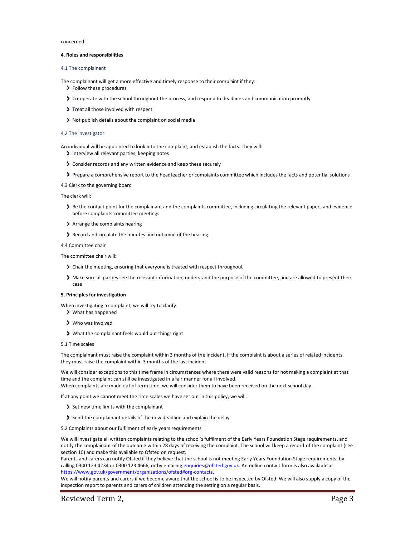concerned.

#### **4. Roles and responsibilities**

#### 4.1 The complainant

The complainant will get a more effective and timely response to their complaint if they:

- > Follow these procedures
- Co-operate with the school throughout the process, and respond to deadlines and communication promptly
- > Treat all those involved with respect
- Not publish details about the complaint on social media

# 4.2 The investigator

An individual will be appointed to look into the complaint, and establish the facts. They will: Interview all relevant parties, keeping notes

- 
- Consider records and any written evidence and keep these securely
- Prepare a comprehensive report to the headteacher or complaints committee which includes the facts and potential solutions

# 4.3 Clerk to the governing board

#### The clerk will:

- > Be the contact point for the complainant and the complaints committee, including circulating the relevant papers and evidence before complaints committee meetings
- > Arrange the complaints hearing
- Record and circulate the minutes and outcome of the hearing

# 4.4 Committee chair

The committee chair will:

- Chair the meeting, ensuring that everyone is treated with respect throughout
- Make sure all parties see the relevant information, understand the purpose of the committee, and are allowed to present their case

# **5. Principles for investigation**

When investigating a complaint, we will try to clarify:

- What has happened
- Who was involved
- What the complainant feels would put things right

#### 5.1 Time scales

The complainant must raise the complaint within 3 months of the incident. If the complaint is about a series of related incidents, they must raise the complaint within 3 months of the last incident.

We will consider exceptions to this time frame in circumstances where there were valid reasons for not making a complaint at that time and the complaint can still be investigated in a fair manner for all involved. When complaints are made out of term time, we will consider them to have been received on the next school day.

If at any point we cannot meet the time scales we have set out in this policy, we will:

- Set new time limits with the complainant
- Send the complainant details of the new deadline and explain the delay
- 5.2 Complaints about our fulfilment of early years requirements

We will investigate all written complaints relating to the school's fulfilment of the Early Years Foundation Stage requirements, and notify the complainant of the outcome within 28 days of receiving the complaint. The school will keep a record of the complaint (see section 10) and make this available to Ofsted on request.

Parents and carers can notify Ofsted if they believe that the school is not meeting Early Years Foundation Stage requirements, by calling 0300 123 4234 or 0300 123 4666, or by emailing [enquiries@ofsted.gov.uk.](mailto:enquiries@ofsted.gov.uk) An online contact form is also available at [https://www.gov.uk/government/organisations/ofsted#org-contacts.](https://www.gov.uk/government/organisations/ofsted#org-contacts)

We will notify parents and carers if we become aware that the school is to be inspected by Ofsted. We will also supply a copy of the inspection report to parents and carers of children attending the setting on a regular basis.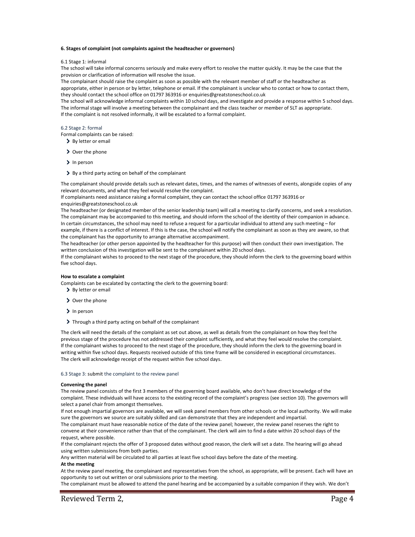# **6. Stages of complaint (not complaints against the headteacher or governors)**

#### 6.1 Stage 1: informal

The school will take informal concerns seriously and make every effort to resolve the matter quickly. It may be the case that the provision or clarification of information will resolve the issue.

The complainant should raise the complaint as soon as possible with the relevant member of staff or the headteacher as appropriate, either in person or by letter, telephone or email. If the complainant is unclear who to contact or how to contact them, they should contact the school office on 01797 363916 or enquiries@greatstoneschool.co.uk

The school will acknowledge informal complaints within 10 school days, and investigate and provide a response within 5 school days. The informal stage will involve a meeting between the complainant and the class teacher or member of SLT as appropriate. If the complaint is not resolved informally, it will be escalated to a formal complaint.

#### 6.2 Stage 2: formal

Formal complaints can be raised:

- > By letter or email
- > Over the phone
- > In person
- By a third party acting on behalf of the complainant

The complainant should provide details such as relevant dates, times, and the names of witnesses of events, alongside copies of any relevant documents, and what they feel would resolve the complaint.

If complainants need assistance raising a formal complaint, they can contact the school office 01797 363916 or enquiries@greatstoneschool.co.uk

The headteacher (or designated member of the senior leadership team) will call a meeting to clarify concerns, and seek a resolution. The complainant may be accompanied to this meeting, and should inform the school of the identity of their companion in advance. In certain circumstances, the school may need to refuse a request for a particular individual to attend any such meeting – for example, if there is a conflict of interest. If this is the case, the school will notify the complainant as soon as they are aware, so that

the complainant has the opportunity to arrange alternative accompaniment. The headteacher (or other person appointed by the headteacher for this purpose) will then conduct their own investigation. The

written conclusion of this investigation will be sent to the complainant within 20 school days.

If the complainant wishes to proceed to the next stage of the procedure, they should inform the clerk to the governing board within five school days.

# **How to escalate a complaint**

Complaints can be escalated by contacting the clerk to the governing board:

- > By letter or email
- > Over the phone
- > In person
- > Through a third party acting on behalf of the complainant

The clerk will need the details of the complaint as set out above, as well as details from the complainant on how they feel the previous stage of the procedure has not addressed their complaint sufficiently, and what they feel would resolve the complaint. If the complainant wishes to proceed to the next stage of the procedure, they should inform the clerk to the governing board in writing within five school days. Requests received outside of this time frame will be considered in exceptional circumstances. The clerk will acknowledge receipt of the request within five school days.

# 6.3 Stage 3: submit the complaint to the review panel

#### **Convening the panel**

The review panel consists of the first 3 members of the governing board available, who don't have direct knowledge of the complaint. These individuals will have access to the existing record of the complaint's progress (see section 10). The governors will select a panel chair from amongst themselves.

If not enough impartial governors are available, we will seek panel members from other schools or the local authority. We will make sure the governors we source are suitably skilled and can demonstrate that they are independent and impartial.

The complainant must have reasonable notice of the date of the review panel; however, the review panel reserves the right to convene at their convenience rather than that of the complainant. The clerk will aim to find a date within 20 school days of the request, where possible.

If the complainant rejects the offer of 3 proposed dates without good reason, the clerk will set a date. The hearing will go ahead using written submissions from both parties.

Any written material will be circulated to all parties at least five school days before the date of the meeting.

# **At the meeting**

At the review panel meeting, the complainant and representatives from the school, as appropriate, will be present. Each will have an opportunity to set out written or oral submissions prior to the meeting.

The complainant must be allowed to attend the panel hearing and be accompanied by a suitable companion if they wish. We don't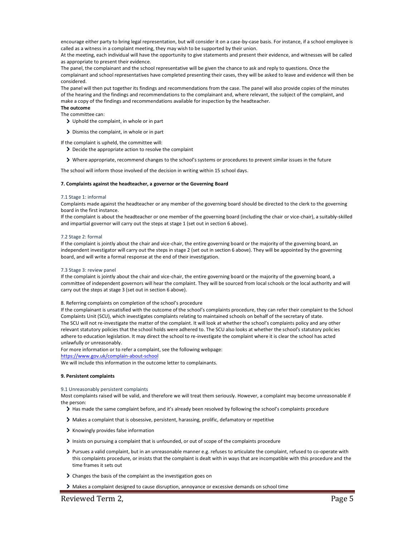encourage either party to bring legal representation, but will consider it on a case-by-case basis. For instance, if a school employee is called as a witness in a complaint meeting, they may wish to be supported by their union.

At the meeting, each individual will have the opportunity to give statements and present their evidence, and witnesses will be called as appropriate to present their evidence.

The panel, the complainant and the school representative will be given the chance to ask and reply to questions. Once the complainant and school representatives have completed presenting their cases, they will be asked to leave and evidence will then be considered.

The panel will then put together its findings and recommendations from the case. The panel will also provide copies of the minutes of the hearing and the findings and recommendations to the complainant and, where relevant, the subject of the complaint, and make a copy of the findings and recommendations available for inspection by the headteacher.

**The outcome**

The committee can:

- Uphold the complaint, in whole or in part
- > Dismiss the complaint, in whole or in part

If the complaint is upheld, the committee will:

- Decide the appropriate action to resolve the complaint
- Where appropriate, recommend changes to the school's systems or procedures to prevent similar issues in the future

The school will inform those involved of the decision in writing within 15 school days.

#### **7. Complaints against the headteacher, a governor or the Governing Board**

#### 7.1 Stage 1: informal

Complaints made against the headteacher or any member of the governing board should be directed to the clerk to the governing board in the first instance.

If the complaint is about the headteacher or one member of the governing board (including the chair or vice-chair), a suitably-skilled and impartial governor will carry out the steps at stage 1 (set out in section 6 above).

#### 7.2 Stage 2: formal

If the complaint is jointly about the chair and vice-chair, the entire governing board or the majority of the governing board, an independent investigator will carry out the steps in stage 2 (set out in section 6 above). They will be appointed by the governing board, and will write a formal response at the end of their investigation.

#### 7.3 Stage 3: review panel

If the complaint is jointly about the chair and vice-chair, the entire governing board or the majority of the governing board, a committee of independent governors will hear the complaint. They will be sourced from local schools or the local authority and will carry out the steps at stage 3 (set out in section 6 above).

#### 8. Referring complaints on completion of the school's procedure

If the complainant is unsatisfied with the outcome of the school's complaints procedure, they can refer their complaint to the School Complaints Unit (SCU), which investigates complaints relating to maintained schools on behalf of the secretary of state. The SCU will not re-investigate the matter of the complaint. It will look at whether the school's complaints policy and any other relevant statutory policies that the school holds were adhered to. The SCU also looks at whether the school's statutory policies adhere to education legislation. It may direct the school to re-investigate the complaint where it is clear the school has acted unlawfully or unreasonably.

For more information or to refer a complaint, see the following webpage:

<https://www.gov.uk/complain-about-school>

We will include this information in the outcome letter to complainants.

#### **9. Persistent complaints**

#### 9.1 Unreasonably persistent complaints

Most complaints raised will be valid, and therefore we will treat them seriously. However, a complaint may become unreasonable if the person:

- > Has made the same complaint before, and it's already been resolved by following the school's complaints procedure
- Makes a complaint that is obsessive, persistent, harassing, prolific, defamatory or repetitive
- > Knowingly provides false information
- Insists on pursuing a complaint that is unfounded, or out of scope of the complaints procedure
- Pursues a valid complaint, but in an unreasonable manner e.g. refuses to articulate the complaint, refused to co-operate with this complaints procedure, or insists that the complaint is dealt with in ways that are incompatible with this procedure and the time frames it sets out
- Changes the basis of the complaint as the investigation goes on
- Makes a complaint designed to cause disruption, annoyance or excessive demands on school time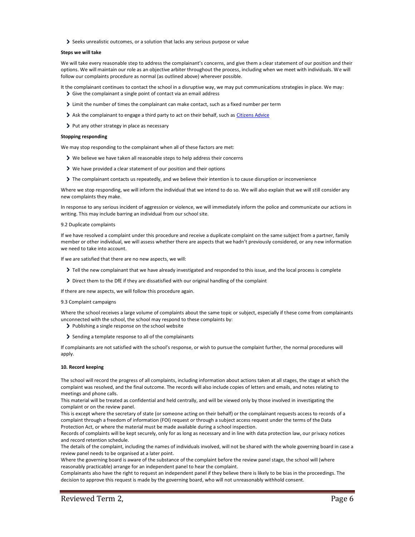Seeks unrealistic outcomes, or a solution that lacks any serious purpose or value

# **Steps we will take**

We will take every reasonable step to address the complainant's concerns, and give them a clear statement of our position and their options. We will maintain our role as an objective arbiter throughout the process, including when we meet with individuals. We will follow our complaints procedure as normal (as outlined above) wherever possible.

- It the complainant continues to contact the school in a disruptive way, we may put communications strategies in place. We may: Give the complainant a single point of contact via an email address
	- Limit the number of times the complainant can make contact, such as a fixed number per term
	- > Ask the complainant to engage a third party to act on their behalf, such as [Citizens Advice](https://www.citizensadvice.org.uk/)
	- > Put any other strategy in place as necessary

#### **Stopping responding**

We may stop responding to the complainant when all of these factors are met:

- We believe we have taken all reasonable steps to help address their concerns
- We have provided a clear statement of our position and their options
- The complainant contacts us repeatedly, and we believe their intention is to cause disruption or inconvenience

Where we stop responding, we will inform the individual that we intend to do so. We will also explain that we will still consider any new complaints they make.

In response to any serious incident of aggression or violence, we will immediately inform the police and communicate our actions in writing. This may include barring an individual from our school site.

#### 9.2 Duplicate complaints

If we have resolved a complaint under this procedure and receive a duplicate complaint on the same subject from a partner, family member or other individual, we will assess whether there are aspects that we hadn't previously considered, or any new information we need to take into account.

If we are satisfied that there are no new aspects, we will:

- Tell the new complainant that we have already investigated and responded to this issue, and the local process is complete
- Direct them to the DfE if they are dissatisfied with our original handling of the complaint

If there are new aspects, we will follow this procedure again.

### 9.3 Complaint campaigns

Where the school receives a large volume of complaints about the same topic or subject, especially if these come from complainants unconnected with the school, the school may respond to these complaints by:

- > Publishing a single response on the school website
- Sending a template response to all of the complainants

If complainants are not satisfied with the school's response, or wish to pursue the complaint further, the normal procedures will apply.

#### **10. Record keeping**

The school will record the progress of all complaints, including information about actions taken at all stages, the stage at which the complaint was resolved, and the final outcome. The records will also include copies of letters and emails, and notes relating to meetings and phone calls.

This material will be treated as confidential and held centrally, and will be viewed only by those involved in investigating the complaint or on the review panel.

This is except where the secretary of state (or someone acting on their behalf) or the complainant requests access to records of a complaint through a freedom of information (FOI) request or through a subject access request under the terms of the Data Protection Act, or where the material must be made available during a school inspection.

Records of complaints will be kept securely, only for as long as necessary and in line with data protection law, our privacy notices and record retention schedule.

The details of the complaint, including the names of individuals involved, will not be shared with the whole governing board in case a review panel needs to be organised at a later point.

Where the governing board is aware of the substance of the complaint before the review panel stage, the school will (where reasonably practicable) arrange for an independent panel to hear the complaint.

Complainants also have the right to request an independent panel if they believe there is likely to be bias in the proceedings. The decision to approve this request is made by the governing board, who will not unreasonably withhold consent.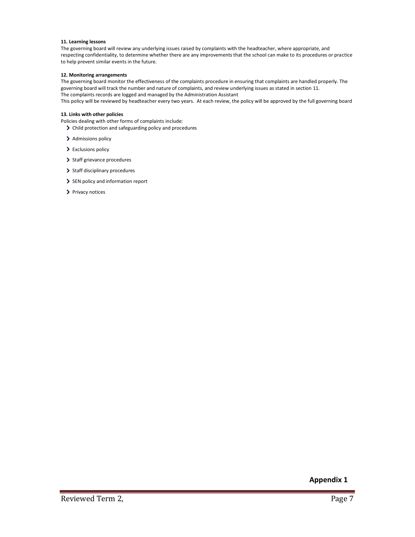# **11. Learning lessons**

The governing board will review any underlying issues raised by complaints with the headteacher, where appropriate, and respecting confidentiality, to determine whether there are any improvements that the school can make to its procedures or practice to help prevent similar events in the future.

# **12. Monitoring arrangements**

The governing board monitor the effectiveness of the complaints procedure in ensuring that complaints are handled properly. The governing board will track the number and nature of complaints, and review underlying issues as stated in section 11. The complaints records are logged and managed by the Administration Assistant

This policy will be reviewed by headteacher every two years. At each review, the policy will be approved by the full governing board

# **13. Links with other policies**

Policies dealing with other forms of complaints include:

- Child protection and safeguarding policy and procedures
- > Admissions policy
- > Exclusions policy
- > Staff grievance procedures
- > Staff disciplinary procedures
- SEN policy and information report
- > Privacy notices

**Appendix 1**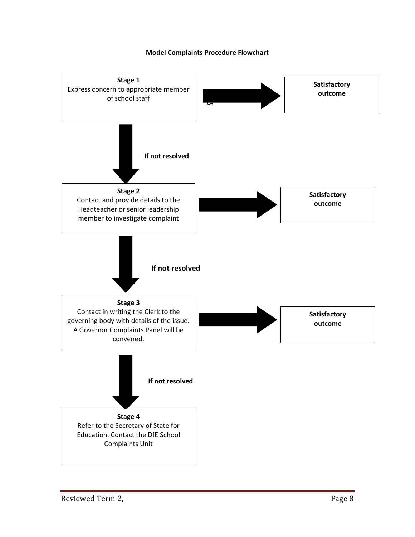# **Model Complaints Procedure Flowchart**